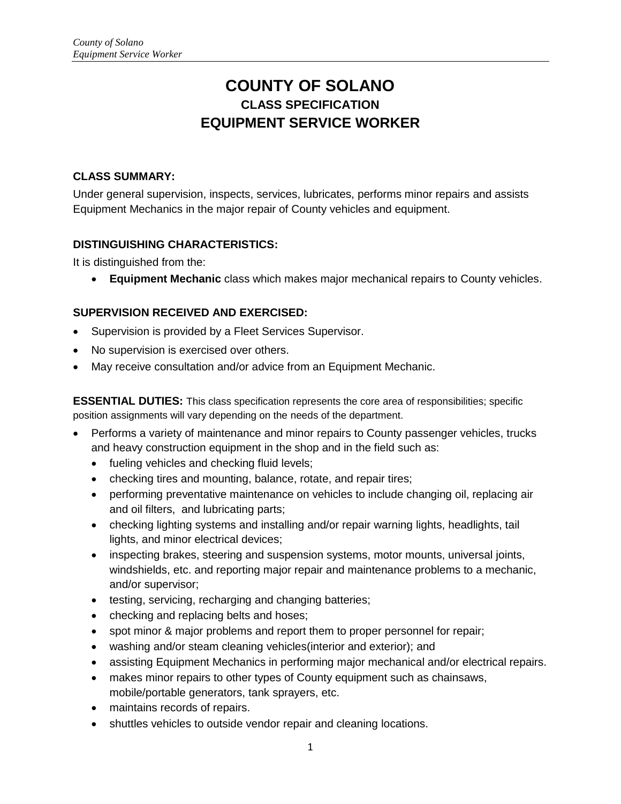# **COUNTY OF SOLANO CLASS SPECIFICATION EQUIPMENT SERVICE WORKER**

# **CLASS SUMMARY:**

Under general supervision, inspects, services, lubricates, performs minor repairs and assists Equipment Mechanics in the major repair of County vehicles and equipment.

# **DISTINGUISHING CHARACTERISTICS:**

It is distinguished from the:

**Equipment Mechanic** class which makes major mechanical repairs to County vehicles.

# **SUPERVISION RECEIVED AND EXERCISED:**

- Supervision is provided by a Fleet Services Supervisor.
- No supervision is exercised over others.
- May receive consultation and/or advice from an Equipment Mechanic.

**ESSENTIAL DUTIES:** This class specification represents the core area of responsibilities; specific position assignments will vary depending on the needs of the department.

- Performs a variety of maintenance and minor repairs to County passenger vehicles, trucks and heavy construction equipment in the shop and in the field such as:
	- fueling vehicles and checking fluid levels;
	- checking tires and mounting, balance, rotate, and repair tires;
	- performing preventative maintenance on vehicles to include changing oil, replacing air and oil filters, and lubricating parts;
	- checking lighting systems and installing and/or repair warning lights, headlights, tail lights, and minor electrical devices;
	- inspecting brakes, steering and suspension systems, motor mounts, universal joints, windshields, etc. and reporting major repair and maintenance problems to a mechanic, and/or supervisor;
	- testing, servicing, recharging and changing batteries;
	- checking and replacing belts and hoses;
	- spot minor & major problems and report them to proper personnel for repair;
	- washing and/or steam cleaning vehicles(interior and exterior); and
	- assisting Equipment Mechanics in performing major mechanical and/or electrical repairs.
	- makes minor repairs to other types of County equipment such as chainsaws, mobile/portable generators, tank sprayers, etc.
	- maintains records of repairs.
	- shuttles vehicles to outside vendor repair and cleaning locations.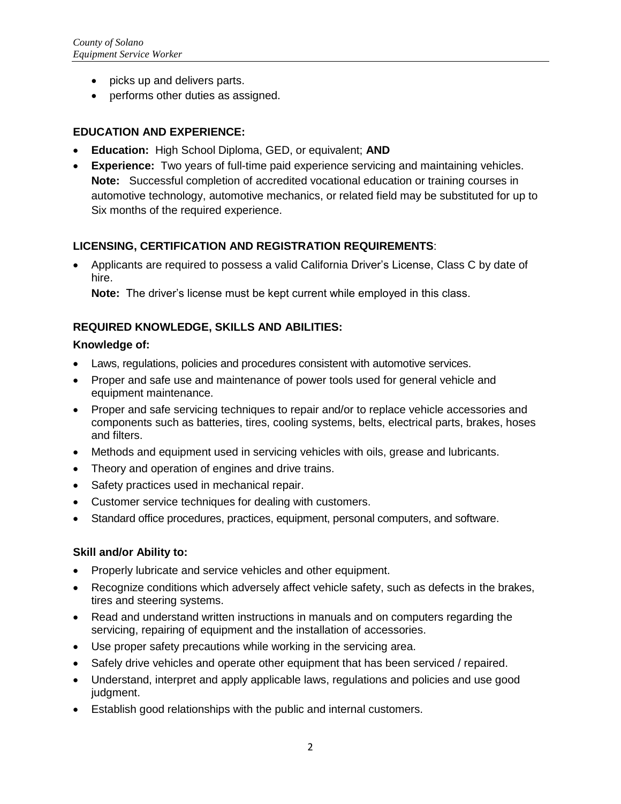- picks up and delivers parts.
- performs other duties as assigned.

### **EDUCATION AND EXPERIENCE:**

- **Education:** High School Diploma, GED, or equivalent; **AND**
- **Experience:** Two years of full-time paid experience servicing and maintaining vehicles. **Note:** Successful completion of accredited vocational education or training courses in automotive technology, automotive mechanics, or related field may be substituted for up to Six months of the required experience.

## **LICENSING, CERTIFICATION AND REGISTRATION REQUIREMENTS**:

 Applicants are required to possess a valid California Driver's License, Class C by date of hire.

**Note:** The driver's license must be kept current while employed in this class.

## **REQUIRED KNOWLEDGE, SKILLS AND ABILITIES:**

#### **Knowledge of:**

- Laws, regulations, policies and procedures consistent with automotive services.
- Proper and safe use and maintenance of power tools used for general vehicle and equipment maintenance.
- Proper and safe servicing techniques to repair and/or to replace vehicle accessories and components such as batteries, tires, cooling systems, belts, electrical parts, brakes, hoses and filters.
- Methods and equipment used in servicing vehicles with oils, grease and lubricants.
- Theory and operation of engines and drive trains.
- Safety practices used in mechanical repair.
- Customer service techniques for dealing with customers.
- Standard office procedures, practices, equipment, personal computers, and software.

#### **Skill and/or Ability to:**

- Properly lubricate and service vehicles and other equipment.
- Recognize conditions which adversely affect vehicle safety, such as defects in the brakes, tires and steering systems.
- Read and understand written instructions in manuals and on computers regarding the servicing, repairing of equipment and the installation of accessories.
- Use proper safety precautions while working in the servicing area.
- Safely drive vehicles and operate other equipment that has been serviced / repaired.
- Understand, interpret and apply applicable laws, regulations and policies and use good judgment.
- Establish good relationships with the public and internal customers.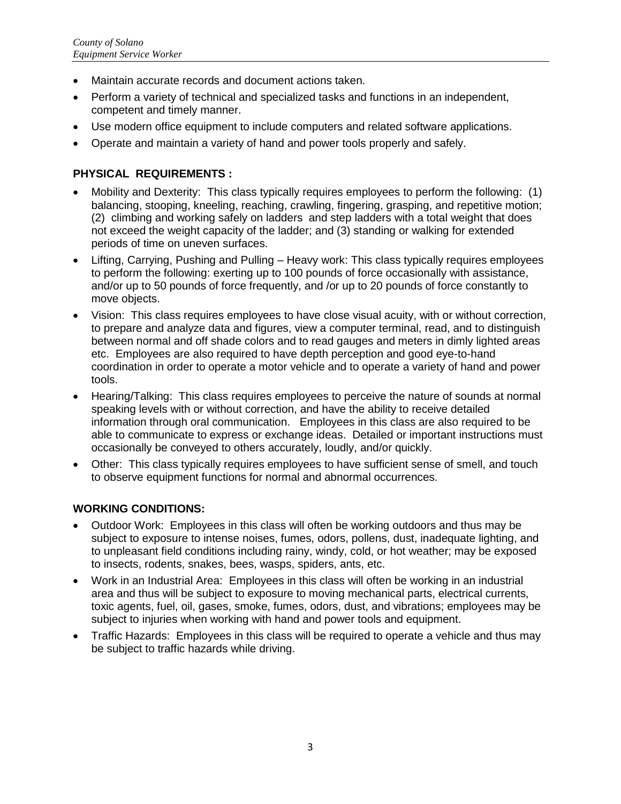- Maintain accurate records and document actions taken.
- Perform a variety of technical and specialized tasks and functions in an independent, competent and timely manner.
- Use modern office equipment to include computers and related software applications.
- Operate and maintain a variety of hand and power tools properly and safely.

#### **PHYSICAL REQUIREMENTS :**

- Mobility and Dexterity: This class typically requires employees to perform the following: (1) balancing, stooping, kneeling, reaching, crawling, fingering, grasping, and repetitive motion; (2) climbing and working safely on ladders and step ladders with a total weight that does not exceed the weight capacity of the ladder; and (3) standing or walking for extended periods of time on uneven surfaces.
- Lifting, Carrying, Pushing and Pulling Heavy work: This class typically requires employees to perform the following: exerting up to 100 pounds of force occasionally with assistance, and/or up to 50 pounds of force frequently, and /or up to 20 pounds of force constantly to move objects.
- Vision: This class requires employees to have close visual acuity, with or without correction, to prepare and analyze data and figures, view a computer terminal, read, and to distinguish between normal and off shade colors and to read gauges and meters in dimly lighted areas etc. Employees are also required to have depth perception and good eye-to-hand coordination in order to operate a motor vehicle and to operate a variety of hand and power tools.
- Hearing/Talking: This class requires employees to perceive the nature of sounds at normal speaking levels with or without correction, and have the ability to receive detailed information through oral communication. Employees in this class are also required to be able to communicate to express or exchange ideas. Detailed or important instructions must occasionally be conveyed to others accurately, loudly, and/or quickly.
- Other: This class typically requires employees to have sufficient sense of smell, and touch to observe equipment functions for normal and abnormal occurrences.

#### **WORKING CONDITIONS:**

- Outdoor Work: Employees in this class will often be working outdoors and thus may be subject to exposure to intense noises, fumes, odors, pollens, dust, inadequate lighting, and to unpleasant field conditions including rainy, windy, cold, or hot weather; may be exposed to insects, rodents, snakes, bees, wasps, spiders, ants, etc.
- Work in an Industrial Area: Employees in this class will often be working in an industrial area and thus will be subject to exposure to moving mechanical parts, electrical currents, toxic agents, fuel, oil, gases, smoke, fumes, odors, dust, and vibrations; employees may be subject to injuries when working with hand and power tools and equipment.
- Traffic Hazards: Employees in this class will be required to operate a vehicle and thus may be subject to traffic hazards while driving.